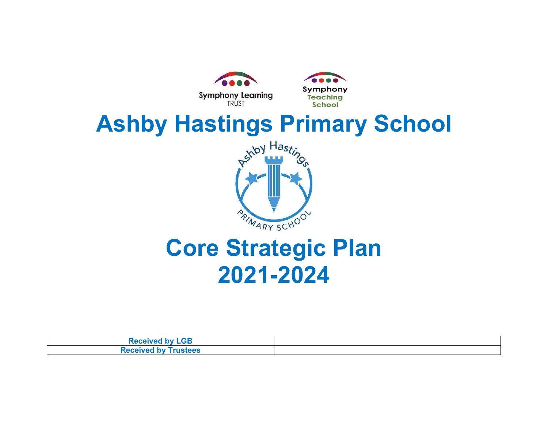

| <b>Received by LGB</b>      |  |
|-----------------------------|--|
| <b>Received by Trustees</b> |  |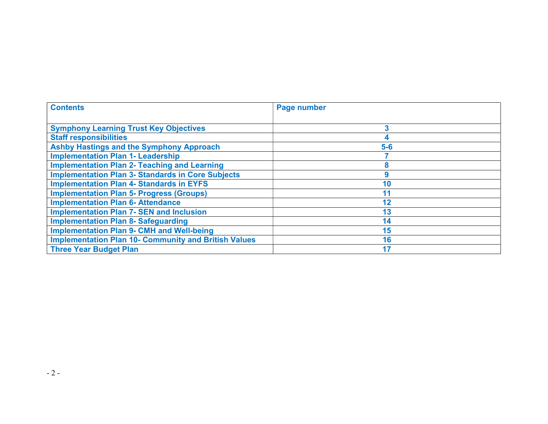| <b>Contents</b>                                             | Page number |
|-------------------------------------------------------------|-------------|
|                                                             |             |
| <b>Symphony Learning Trust Key Objectives</b>               | 3           |
| <b>Staff responsibilities</b>                               |             |
| <b>Ashby Hastings and the Symphony Approach</b>             | $5-6$       |
| <b>Implementation Plan 1- Leadership</b>                    |             |
| <b>Implementation Plan 2- Teaching and Learning</b>         | 8           |
| <b>Implementation Plan 3- Standards in Core Subjects</b>    | 9           |
| <b>Implementation Plan 4- Standards in EYFS</b>             | 10          |
| <b>Implementation Plan 5- Progress (Groups)</b>             | 11          |
| <b>Implementation Plan 6- Attendance</b>                    | 12          |
| <b>Implementation Plan 7- SEN and Inclusion</b>             | 13          |
| <b>Implementation Plan 8- Safeguarding</b>                  | 14          |
| <b>Implementation Plan 9- CMH and Well-being</b>            | 15          |
| <b>Implementation Plan 10- Community and British Values</b> | 16          |
| <b>Three Year Budget Plan</b>                               | 17          |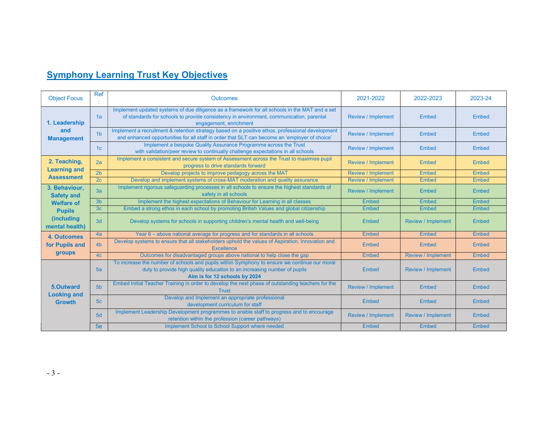#### **Symphony Learning Trust Key Objectives**

| <b>Object Focus</b>                 | <b>Ref</b>     | <b>Outcomes</b>                                                                                                                                                                                                     | 2021-2022                 | 2022-2023                 | 2023-24      |
|-------------------------------------|----------------|---------------------------------------------------------------------------------------------------------------------------------------------------------------------------------------------------------------------|---------------------------|---------------------------|--------------|
| 1. Leadership                       | 1a             | Implement updated systems of due diligence as a framework for all schools in the MAT and a set<br>of standards for schools to provide consistency in environment, communication, parental<br>engagement, enrichment | <b>Review / Implement</b> | <b>Embed</b>              | Embed        |
| and<br><b>Management</b>            | 1 <sub>b</sub> | Implement a recruitment & retention strategy based on a positive ethos, professional development<br>and enhanced opportunities for all staff in order that SLT can become an 'employer of choice'                   | <b>Review / Implement</b> | Embed                     | Embed        |
|                                     | 1c             | Implement a bespoke Quality Assurance Programme across the Trust<br>with validation/peer review to continually challenge expectations in all schools                                                                | <b>Review / Implement</b> | Embed                     | Embed        |
| 2. Teaching,<br><b>Learning and</b> | 2a             | Implement a consistent and secure system of Assessment across the Trust to maximise pupil<br>progress to drive standards forward                                                                                    | <b>Review / Implement</b> | Embed                     | Embed        |
| <b>Assessment</b>                   | 2 <sub>b</sub> | Develop projects to improve pedagogy across the MAT                                                                                                                                                                 | <b>Review / Implement</b> | Embed                     | Embed        |
|                                     | 2c             | Develop and implement systems of cross-MAT moderation and quality assurance                                                                                                                                         | <b>Review / Implement</b> | Embed                     | Embed        |
| 3. Behaviour,<br><b>Safety and</b>  | 3a             | Implement rigorous safeguarding processes in all schools to ensure the highest standards of<br>safety in all schools                                                                                                | <b>Review / Implement</b> | Embed                     | Embed        |
| <b>Welfare of</b>                   | 3 <sub>b</sub> | Implement the highest expectations of Behaviour for Learning in all classes                                                                                                                                         | <b>Embed</b>              | Embed                     | Embed        |
| <b>Pupils</b>                       | 3 <sub>c</sub> | Embed a strong ethos in each school by promoting British Values and global citizenship                                                                                                                              | Embed                     | Embed                     | Embed        |
| (including<br>mental health)        | 3d             | Develop systems for schools in supporting children's mental health and well-being                                                                                                                                   | Embed                     | <b>Review / Implement</b> | Embed        |
| 4. Outcomes                         | 4a             | Year 6 - above national average for progress and for standards in all schools                                                                                                                                       | Embed                     | Embed                     | Embed        |
| for Pupils and                      | 4 <sub>b</sub> | Develop systems to ensure that all stakeholders uphold the values of Aspiration, Innovation and<br><b>Excellence</b>                                                                                                | Embed                     | Embed                     | Embed        |
| groups                              | 4 <sub>c</sub> | Outcomes for disadvantaged groups above national to help close the gap                                                                                                                                              | <b>Embed</b>              | <b>Review / Implement</b> | <b>Embed</b> |
|                                     | 5a             | To increase the number of schools and pupils within Symphony to ensure we continue our moral<br>duty to provide high quality education to an increasing number of pupils<br>Aim is for 12 schools by 2024           | Embed                     | <b>Review / Implement</b> | Embed        |
| 5.Outward                           | 5 <sub>b</sub> | Embed Initial Teacher Training in order to develop the next phase of outstanding teachers for the<br><b>Trust</b>                                                                                                   | <b>Review / Implement</b> | Embed                     | Embed        |
| <b>Looking and</b><br><b>Growth</b> | 5 <sub>c</sub> | Develop and Implement an appropriate professional<br>development curriculum for staff                                                                                                                               | Embed                     | Embed                     | Embed        |
|                                     | 5d             | Implement Leadership Development programmes to enable staff to progress and to encourage<br>retention within the profession (career pathways)                                                                       | <b>Review / Implement</b> | <b>Review / Implement</b> | Embed        |
|                                     | 5e             | Implement School to School Support where needed                                                                                                                                                                     | Embed                     | Embed                     | Embed        |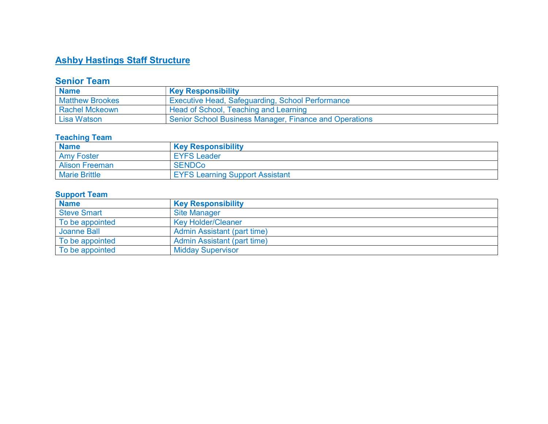#### **Ashby Hastings Staff Structure**

#### Senior Team

| <b>Name</b>            | <b>Key Responsibility</b>                              |
|------------------------|--------------------------------------------------------|
| <b>Matthew Brookes</b> | ' Executive Head, Safeguarding, School Performance     |
| <b>Rachel Mckeown</b>  | Head of School, Teaching and Learning                  |
| Lisa Watson            | Senior School Business Manager, Finance and Operations |

#### Teaching Team

| <b>Name</b>           | <b>Key Responsibility</b>              |
|-----------------------|----------------------------------------|
| <b>Amy Foster</b>     | <b>EYFS Leader</b>                     |
| <b>Alison Freeman</b> | <b>SENDCo</b>                          |
| <b>Marie Brittle</b>  | <b>EYFS Learning Support Assistant</b> |

#### Support Team

| <b>Name</b>        | <b>Key Responsibility</b>   |
|--------------------|-----------------------------|
| <b>Steve Smart</b> | <b>Site Manager</b>         |
| To be appointed    | <b>Kev Holder/Cleaner</b>   |
| Joanne Ball        | Admin Assistant (part time) |
| To be appointed    | Admin Assistant (part time) |
| To be appointed    | <b>Midday Supervisor</b>    |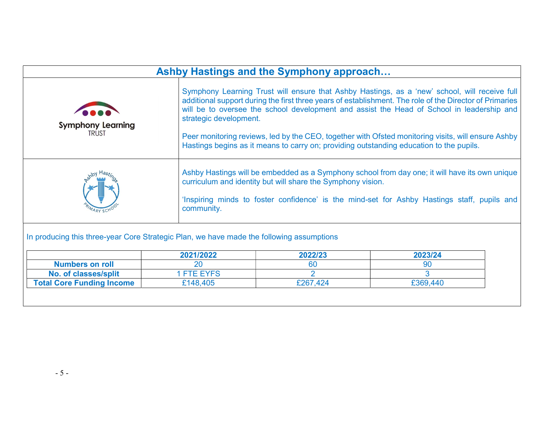|                                                                                                                                                                                                                                                                                                                                                                                                                                                                                                                                                                              |                 | Ashby Hastings and the Symphony approach                    |                                                                                                                                                                                               |  |  |  |
|------------------------------------------------------------------------------------------------------------------------------------------------------------------------------------------------------------------------------------------------------------------------------------------------------------------------------------------------------------------------------------------------------------------------------------------------------------------------------------------------------------------------------------------------------------------------------|-----------------|-------------------------------------------------------------|-----------------------------------------------------------------------------------------------------------------------------------------------------------------------------------------------|--|--|--|
| Symphony Learning Trust will ensure that Ashby Hastings, as a 'new' school, will receive full<br>additional support during the first three years of establishment. The role of the Director of Primaries<br>will be to oversee the school development and assist the Head of School in leadership and<br>strategic development.<br><b>Symphony Learning</b><br><b>TRUST</b><br>Peer monitoring reviews, led by the CEO, together with Ofsted monitoring visits, will ensure Ashby<br>Hastings begins as it means to carry on; providing outstanding education to the pupils. |                 |                                                             |                                                                                                                                                                                               |  |  |  |
|                                                                                                                                                                                                                                                                                                                                                                                                                                                                                                                                                                              | community.      | curriculum and identity but will share the Symphony vision. | Ashby Hastings will be embedded as a Symphony school from day one; it will have its own unique<br>'Inspiring minds to foster confidence' is the mind-set for Ashby Hastings staff, pupils and |  |  |  |
| In producing this three-year Core Strategic Plan, we have made the following assumptions                                                                                                                                                                                                                                                                                                                                                                                                                                                                                     | 2021/2022       | 2022/23                                                     | 2023/24                                                                                                                                                                                       |  |  |  |
| <b>Numbers on roll</b>                                                                                                                                                                                                                                                                                                                                                                                                                                                                                                                                                       | 20              | 60                                                          | 90                                                                                                                                                                                            |  |  |  |
|                                                                                                                                                                                                                                                                                                                                                                                                                                                                                                                                                                              |                 | $\mathcal{P}$                                               | $\mathbf{R}$                                                                                                                                                                                  |  |  |  |
| No. of classes/split                                                                                                                                                                                                                                                                                                                                                                                                                                                                                                                                                         | <b>FTE EYFS</b> |                                                             |                                                                                                                                                                                               |  |  |  |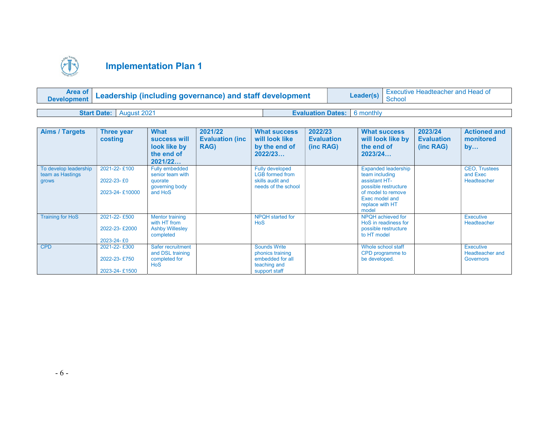

| Development Leadership (including governance) and staff development | Leader(s) | <sup>1</sup> Executive Headteacher and Head of<br>School |  |
|---------------------------------------------------------------------|-----------|----------------------------------------------------------|--|
|                                                                     |           |                                                          |  |
| <b>Start Date:</b> August 2021                                      |           | <b>Evaluation Dates: 6 monthly</b>                       |  |

| <b>Aims / Targets</b>                              | Three year<br>costing                         | <b>What</b><br>success will<br>look like by<br>the end of<br>2021/22              | 2021/22<br><b>Evaluation (inc.</b><br><b>RAG)</b> | <b>What success</b><br>will look like<br>by the end of<br>2022/23                            | 2022/23<br><b>Evaluation</b><br>(inc RAG) | <b>What success</b><br>will look like by<br>the end of<br>2023/24                                                                                         | 2023/24<br><b>Evaluation</b><br>(inc RAG) | <b>Actioned and</b><br>monitored<br>by          |
|----------------------------------------------------|-----------------------------------------------|-----------------------------------------------------------------------------------|---------------------------------------------------|----------------------------------------------------------------------------------------------|-------------------------------------------|-----------------------------------------------------------------------------------------------------------------------------------------------------------|-------------------------------------------|-------------------------------------------------|
| To develop leadership<br>team as Hastings<br>grows | 2021-22-£100<br>2022-23-£0<br>2023-24-£10000  | <b>Fully embedded</b><br>senior team with<br>quorate<br>governing body<br>and HoS |                                                   | <b>Fully developed</b><br><b>LGB</b> formed from<br>skills audit and<br>needs of the school  |                                           | <b>Expanded leadership</b><br>team including<br>assistant HT-<br>possible restructure<br>of model to remove<br>Exec model and<br>replace with HT<br>model |                                           | <b>CEO, Trustees</b><br>and Exec<br>Headteacher |
| <b>Training for HoS</b>                            | 2021-22-£500<br>2022-23-£2000<br>2023-24-£0   | <b>Mentor training</b><br>with HT from<br><b>Ashby Willesley</b><br>completed     |                                                   | NPQH started for<br><b>HoS</b>                                                               |                                           | NPQH achieved for<br>HoS in readiness for<br>possible restructure<br>to HT model                                                                          |                                           | Executive<br><b>Headteacher</b>                 |
| <b>CPD</b>                                         | 2021-22-£300<br>2022-23-£750<br>2023-24-£1500 | Safer recruitment<br>and DSL training<br>completed for<br><b>HoS</b>              |                                                   | <b>Sounds Write</b><br>phonics training<br>embedded for all<br>teaching and<br>support staff |                                           | Whole school staff<br>CPD programme to<br>be developed.                                                                                                   |                                           | Executive<br>Headteacher and<br>Governors       |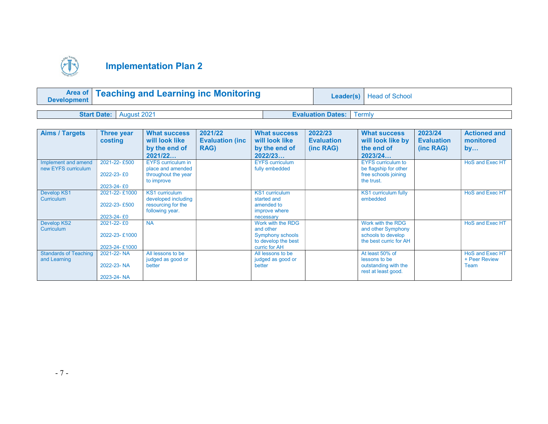

| <b>Area of Teaching and Learning inc Monitoring</b><br><b>Development</b> |  | Leader(s)   Head of School        |  |
|---------------------------------------------------------------------------|--|-----------------------------------|--|
| <b>Start Date:</b> August 2021                                            |  | <b>Evaluation Dates:   Termly</b> |  |

| <b>Aims / Targets</b>                        | Three year<br>costing                        | <b>What success</b><br>will look like<br>by the end of<br>2021/22                     | 2021/22<br><b>Evaluation (inc.</b><br><b>RAG)</b> | <b>What success</b><br>will look like<br>by the end of<br>2022/23                          | 2022/23<br><b>Evaluation</b><br>(inc RAG) | <b>What success</b><br>will look like by<br>the end of<br>2023/24                        | 2023/24<br><b>Evaluation</b><br>(inc RAG) | <b>Actioned and</b><br>monitored<br>by          |
|----------------------------------------------|----------------------------------------------|---------------------------------------------------------------------------------------|---------------------------------------------------|--------------------------------------------------------------------------------------------|-------------------------------------------|------------------------------------------------------------------------------------------|-------------------------------------------|-------------------------------------------------|
| Implement and amend<br>new EYFS curriculum   | 2021-22-£500<br>2022-23-£0<br>2023-24-£0     | <b>EYFS</b> curriculum in<br>place and amended<br>throughout the year<br>to improve   |                                                   | <b>EYFS curriculum</b><br>fully embedded                                                   |                                           | <b>EYFS</b> curriculum to<br>be flagship for other<br>free schools joining<br>the trust. |                                           | <b>HoS and Exec HT</b>                          |
| Develop KS1<br><b>Curriculum</b>             | 2021-22-£1000<br>2022-23-£500<br>2023-24-£0  | <b>KS1</b> curriculum<br>developed including<br>resourcing for the<br>following year. |                                                   | <b>KS1</b> curriculum<br>started and<br>amended to<br>improve where<br>necessary           |                                           | KS1 curriculum fully<br>embedded                                                         |                                           | <b>HoS and Exec HT</b>                          |
| <b>Develop KS2</b><br>Curriculum             | 2021-22-£0<br>2022-23-£1000<br>2023-24-£1000 | <b>NA</b>                                                                             |                                                   | Work with the RDG<br>and other<br>Symphony schools<br>to develop the best<br>curric for AH |                                           | Work with the RDG<br>and other Symphony<br>schools to develop<br>the best curric for AH  |                                           | HoS and Exec HT                                 |
| <b>Standards of Teaching</b><br>and Learning | 2021-22-NA<br>2022-23-NA<br>2023-24-NA       | All lessons to be<br>judged as good or<br>better                                      |                                                   | All lessons to be<br>judged as good or<br>better                                           |                                           | At least 50% of<br>lessons to be<br>outstanding with the<br>rest at least good.          |                                           | <b>HoS and Exec HT</b><br>+ Peer Review<br>Team |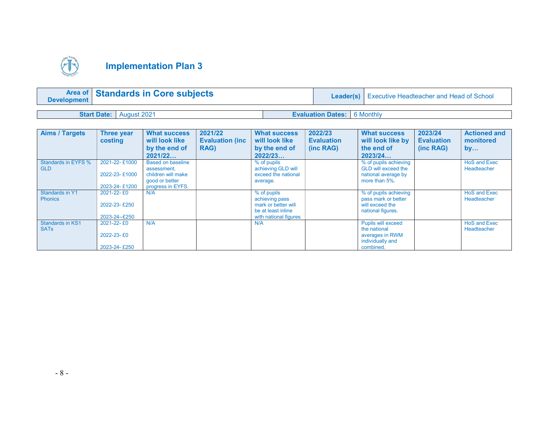

| Area of Standards in Core subjects<br><b>Development</b> |                                |  |                                      | <b>Leader(s)</b>   Executive Headteacher and Head of School |
|----------------------------------------------------------|--------------------------------|--|--------------------------------------|-------------------------------------------------------------|
|                                                          |                                |  |                                      |                                                             |
|                                                          | <b>Start Date:</b> August 2021 |  | <b>Evaluation Dates:   6 Monthly</b> |                                                             |

| <b>Aims / Targets</b>                    | <b>Three year</b><br>costing                         | <b>What success</b><br>will look like<br>by the end of<br>2021/22                                    | 2021/22<br><b>Evaluation (inc.</b><br>RAG) | <b>What success</b><br>will look like<br>by the end of<br>2022/23                                   | 2022/23<br><b>Evaluation</b><br>(inc RAG) | <b>What success</b><br>will look like by<br>the end of<br>2023/24                             | 2023/24<br><b>Evaluation</b><br>(inc RAG) | <b>Actioned and</b><br>monitored<br>by |
|------------------------------------------|------------------------------------------------------|------------------------------------------------------------------------------------------------------|--------------------------------------------|-----------------------------------------------------------------------------------------------------|-------------------------------------------|-----------------------------------------------------------------------------------------------|-------------------------------------------|----------------------------------------|
| <b>Standards in EYFS %</b><br><b>GLD</b> | 2021-22-£1000<br>2022-23-£1000<br>2023-24-£1200      | <b>Based on baseline</b><br>assessment,<br>children will make<br>good or better<br>progress in EYFS. |                                            | % of pupils<br>achieving GLD will<br>exceed the national<br>average.                                |                                           | % of pupils achieving<br><b>GLD will exceed the</b><br>national average by<br>more than 5%.   |                                           | <b>HoS and Exec</b><br>Headteacher     |
| Standards in Y1<br><b>Phonics</b>        | 2021-22-£0<br>2022-23-£250<br>2023-24--£250          | N/A                                                                                                  |                                            | % of pupils<br>achieving pass<br>mark or better will<br>be at least inline<br>with national figures |                                           | % of pupils achieving<br>pass mark or better<br>will exceed the<br>national figures.          |                                           | <b>HoS and Exec</b><br>Headteacher     |
| <b>Standards in KS1</b><br><b>SATs</b>   | $2021 - 22 - E0$<br>$2022 - 23 - £0$<br>2023-24-£250 | N/A                                                                                                  |                                            | N/A                                                                                                 |                                           | <b>Pupils will exceed</b><br>the national<br>averages in RWM<br>individually and<br>combined. |                                           | <b>HoS and Exec</b><br>Headteacher     |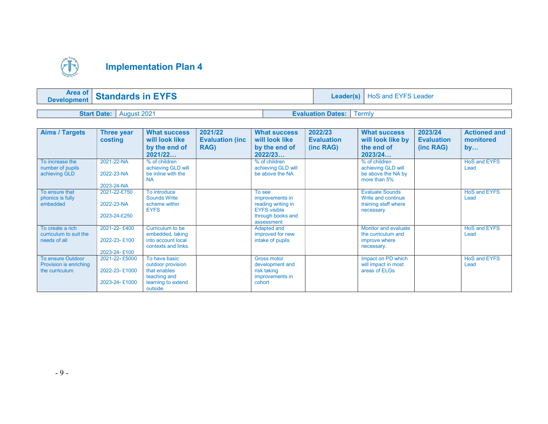

| <b>Area of</b><br><b>Standards in EYFS</b><br><b>Development</b> |             |                                 | Leader(s)   HoS and EYFS Leader |
|------------------------------------------------------------------|-------------|---------------------------------|---------------------------------|
|                                                                  |             |                                 |                                 |
| <b>Start Date:</b>                                               | August 2021 | <b>Evaluation Dates:</b> Termly |                                 |

| <b>Aims / Targets</b>                                                       | Three year<br>costing                           | <b>What success</b><br>will look like<br>by the end of<br>2021/22                                   | 2021/22<br><b>Evaluation (inc.</b><br>RAG) | <b>What success</b><br>will look like<br>by the end of<br>2022/23                                         | 2022/23<br><b>Evaluation</b><br>(inc RAG) | <b>What success</b><br>will look like by<br>the end of<br>2023/24                 | 2023/24<br><b>Evaluation</b><br>(inc RAG) | <b>Actioned and</b><br>monitored<br>by |
|-----------------------------------------------------------------------------|-------------------------------------------------|-----------------------------------------------------------------------------------------------------|--------------------------------------------|-----------------------------------------------------------------------------------------------------------|-------------------------------------------|-----------------------------------------------------------------------------------|-------------------------------------------|----------------------------------------|
| To increase the<br>number of pupils<br>achieving GLD                        | 2021-22-NA<br>2022-23-NA<br>2023-24-NA          | % of children<br>achieving GLD will<br>be inline with the<br><b>NA</b>                              |                                            | % of children<br>achieving GLD will<br>be above the NA                                                    |                                           | % of children<br>achieving GLD will<br>be above the NA by<br>more than 5%         |                                           | <b>HoS and EYFS</b><br>Lead            |
| To ensure that<br>phonics is fully<br>embedded                              | 2021-22-£750<br>2022-23-NA<br>2023-24-£250      | To introduce<br>Sounds Write<br>scheme within<br><b>EYFS</b>                                        |                                            | To see<br>improvements in<br>reading writing in<br><b>EYFS visible</b><br>through books and<br>assessment |                                           | <b>Evaluate Sounds</b><br>Write and continue<br>training staff where<br>necessary |                                           | <b>HoS and EYFS</b><br>Lead            |
| To create a rich<br>curriculum to suit the<br>needs of all                  | 2021-22-£400<br>2022-23-£100<br>2023-24-£100    | Curriculum to be<br>embedded, taking<br>into account local<br>contexts and links.                   |                                            | Adapted and<br>improved for new<br>intake of pupils                                                       |                                           | <b>Monitor and evaluate</b><br>the curriculum and<br>improve where<br>necessary.  |                                           | <b>HoS and EYFS</b><br>Lead            |
| <b>To ensure Outdoor</b><br><b>Provision is enriching</b><br>the curriculum | 2021-22-£5000<br>2022-23-£1000<br>2023-24-£1000 | To have basic<br>outdoor provision<br>that enables<br>teaching and<br>learning to extend<br>outside |                                            | <b>Gross motor</b><br>development and<br>risk taking<br>improvements in<br>cohort                         |                                           | Impact on PD which<br>will impact in most<br>areas of ELGs                        |                                           | <b>HoS and EYFS</b><br>Lead            |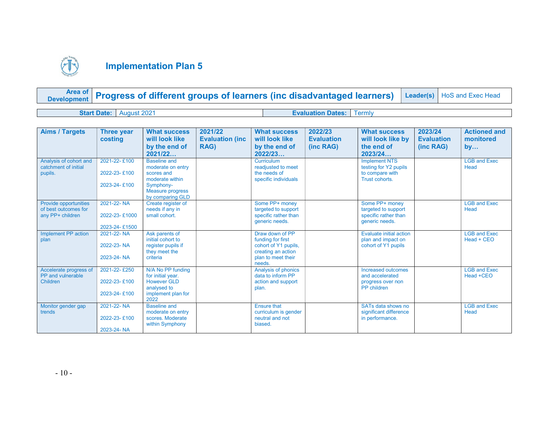

|  |  | <b>Area of Progress of different groups of learners (inc disadvantaged learners)</b> Leader(s) HoS and Exec Head |  |  |
|--|--|------------------------------------------------------------------------------------------------------------------|--|--|
|--|--|------------------------------------------------------------------------------------------------------------------|--|--|

Start Date: August 2021 **Evaluation Dates:** Termly

| <b>Aims / Targets</b>                                             | <b>Three year</b><br>costing           | <b>What success</b><br>will look like<br>by the end of                                 | 2021/22<br><b>Evaluation (inc.</b><br>RAG) | <b>What success</b><br>will look like<br>by the end of                                                   | 2022/23<br><b>Evaluation</b><br>(inc RAG) | <b>What success</b><br>will look like by<br>the end of                          | 2023/24<br><b>Evaluation</b><br>(inc RAG) | <b>Actioned and</b><br>monitored<br>by |
|-------------------------------------------------------------------|----------------------------------------|----------------------------------------------------------------------------------------|--------------------------------------------|----------------------------------------------------------------------------------------------------------|-------------------------------------------|---------------------------------------------------------------------------------|-------------------------------------------|----------------------------------------|
|                                                                   |                                        | 2021/22                                                                                |                                            | 2022/23                                                                                                  |                                           | 2023/24                                                                         |                                           |                                        |
| Analysis of cohort and<br>catchment of initial<br>pupils.         | 2021-22-£100<br>2022-23-£100           | <b>Baseline and</b><br>moderate on entry<br>scores and                                 |                                            | <b>Curriculum</b><br>readjusted to meet<br>the needs of                                                  |                                           | <b>Implement NTS</b><br>testing for Y2 pupils<br>to compare with                |                                           | <b>LGB and Exec</b><br>Head            |
|                                                                   | 2023-24-£100                           | moderate within<br>Symphony-<br><b>Measure progress</b><br>by comparing GLD            |                                            | specific individuals                                                                                     |                                           | Trust cohorts.                                                                  |                                           |                                        |
| Provide opportunities<br>of best outcomes for<br>any PP+ children | 2021-22-NA<br>2022-23-£1000            | Create register of<br>needs if any in<br>small cohort.                                 |                                            | Some PP+ money<br>targeted to support<br>specific rather than<br>generic needs.                          |                                           | Some PP+ money<br>targeted to support<br>specific rather than<br>generic needs. |                                           | <b>LGB and Exec</b><br>Head            |
|                                                                   | 2023-24-£1500                          |                                                                                        |                                            |                                                                                                          |                                           |                                                                                 |                                           |                                        |
| Implement PP action<br>plan                                       | 2021-22-NA<br>2022-23-NA<br>2023-24-NA | Ask parents of<br>initial cohort to<br>register pupils if<br>they meet the<br>criteria |                                            | Draw down of PP<br>funding for first<br>cohort of Y1 pupils,<br>creating an action<br>plan to meet their |                                           | Evaluate initial action<br>plan and impact on<br>cohort of Y1 pupils            |                                           | <b>LGB and Exec</b><br>Head + CEO      |
|                                                                   |                                        |                                                                                        |                                            | needs.                                                                                                   |                                           |                                                                                 |                                           |                                        |
| Accelerate progress of<br>PP and vulnerable<br><b>Children</b>    | 2021-22-£250<br>2022-23-£100           | N/A No PP funding<br>for initial year.<br><b>However GLD</b><br>analysed to            |                                            | Analysis of phonics<br>data to inform PP<br>action and support<br>plan.                                  |                                           | Increased outcomes<br>and accelerated<br>progress over non<br>PP children       |                                           | <b>LGB and Exec</b><br>Head +CEO       |
|                                                                   | 2023-24-£100                           | implement plan for<br>2022                                                             |                                            |                                                                                                          |                                           |                                                                                 |                                           |                                        |
| Monitor gender gap<br>trends                                      | 2021-22-NA                             | <b>Baseline and</b><br>moderate on entry                                               |                                            | <b>Ensure that</b><br>curriculum is gender                                                               |                                           | SATs data shows no<br>significant difference                                    |                                           | <b>LGB and Exec</b><br>Head            |
|                                                                   | 2022-23-£100                           | scores. Moderate<br>within Symphony                                                    |                                            | neutral and not<br>biased.                                                                               |                                           | in performance.                                                                 |                                           |                                        |
|                                                                   | 2023-24-NA                             |                                                                                        |                                            |                                                                                                          |                                           |                                                                                 |                                           |                                        |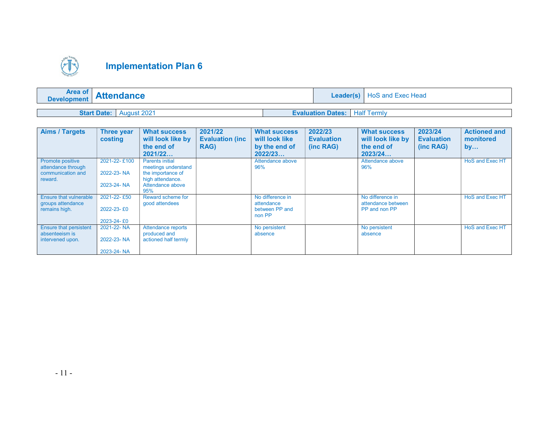

| <b>Area of</b><br><b>Development</b> | <b>Attendance</b> | Leader(s)                  | <b>HoS and Exec Head</b> |
|--------------------------------------|-------------------|----------------------------|--------------------------|
|                                      |                   |                            |                          |
| <b>Start Date:</b>                   | August 2021       | <b>Evaluation Dates:</b> I | <b>Half Termly</b>       |

| <b>Aims / Targets</b>                                                         | Three year<br>costing                    | <b>What success</b><br>will look like by<br>the end of<br>2021/22                                                 | 2021/22<br><b>Evaluation (inc.</b><br><b>RAG)</b> | <b>What success</b><br>will look like<br>by the end of<br>2022/23 | 2022/23<br><b>Evaluation</b><br>(inc RAG) | <b>What success</b><br>will look like by<br>the end of<br>2023/24 | 2023/24<br><b>Evaluation</b><br>(inc RAG) | <b>Actioned and</b><br>monitored<br>by |
|-------------------------------------------------------------------------------|------------------------------------------|-------------------------------------------------------------------------------------------------------------------|---------------------------------------------------|-------------------------------------------------------------------|-------------------------------------------|-------------------------------------------------------------------|-------------------------------------------|----------------------------------------|
| <b>Promote positive</b><br>attendance through<br>communication and<br>reward. | 2021-22-£100<br>2022-23-NA<br>2023-24-NA | <b>Parents initial</b><br>meetings understand<br>the importance of<br>high attendance.<br>Attendance above<br>95% |                                                   | Attendance above<br>96%                                           |                                           | Attendance above<br>96%                                           |                                           | HoS and Exec HT                        |
| Ensure that vulnerable<br>groups attendance<br>remains high.                  | 2021-22-£50<br>2022-23-£0<br>2023-24-£0  | Reward scheme for<br>good attendees                                                                               |                                                   | No difference in<br>attendance<br>between PP and<br>non PP        |                                           | No difference in<br>attendance between<br>PP and non PP           |                                           | HoS and Exec HT                        |
| <b>Ensure that persistent</b><br>absenteeism is<br>intervened upon.           | 2021-22-NA<br>2022-23-NA<br>2023-24-NA   | Attendance reports<br>produced and<br>actioned half termly                                                        |                                                   | No persistent<br>absence                                          |                                           | No persistent<br>absence                                          |                                           | HoS and Exec HT                        |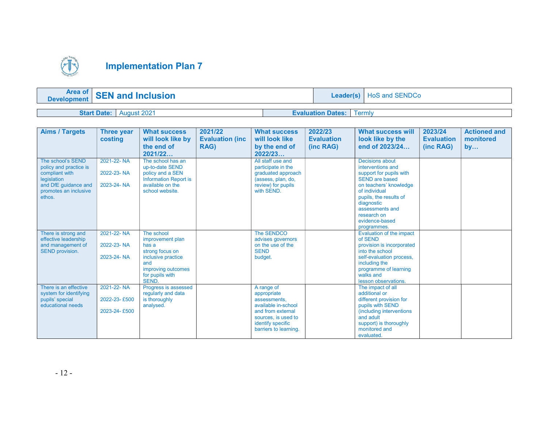

| <b>Area of</b><br><b>Development</b> | <b>SEN and Inclusion</b> | Leader(s)                | HoS and SENDCo |
|--------------------------------------|--------------------------|--------------------------|----------------|
|                                      |                          |                          |                |
| <b>Start Date:</b>                   | August 2021              | <b>Evaluation Dates:</b> | <b>Fermly</b>  |

| <b>Aims / Targets</b>                                                                                                                   | Three year<br>costing                      | <b>What success</b><br>will look like by<br>the end of<br>2021/22                                                                         | 2021/22<br><b>Evaluation (inc.</b><br>RAG) | <b>What success</b><br>will look like<br>by the end of<br>2022/23                                                                                          | 2022/23<br><b>Evaluation</b><br>(inc RAG) | What success will<br>look like by the<br>end of 2023/24                                                                                                                                                                                        | 2023/24<br><b>Evaluation</b><br>(inc RAG) | <b>Actioned and</b><br>monitored<br>by |
|-----------------------------------------------------------------------------------------------------------------------------------------|--------------------------------------------|-------------------------------------------------------------------------------------------------------------------------------------------|--------------------------------------------|------------------------------------------------------------------------------------------------------------------------------------------------------------|-------------------------------------------|------------------------------------------------------------------------------------------------------------------------------------------------------------------------------------------------------------------------------------------------|-------------------------------------------|----------------------------------------|
| The school's SEND<br>policy and practice is<br>compliant with<br>legislation<br>and DfE quidance and<br>promotes an inclusive<br>ethos. | 2021-22-NA<br>2022-23-NA<br>2023-24-NA     | The school has an<br>up-to-date SEND<br>policy and a SEN<br><b>Information Report is</b><br>available on the<br>school website.           |                                            | All staff use and<br>participate in the<br>graduated approach<br>(assess, plan, do,<br>review) for pupils<br>with SEND.                                    |                                           | Decisions about<br>interventions and<br>support for pupils with<br><b>SEND are based</b><br>on teachers' knowledge<br>of individual<br>pupils, the results of<br>diagnostic<br>assessments and<br>research on<br>evidence-based<br>programmes. |                                           |                                        |
| There is strong and<br>effective leadership<br>and management of<br><b>SEND provision.</b>                                              | 2021-22-NA<br>2022-23-NA<br>2023-24-NA     | The school<br>improvement plan<br>has a<br>strong focus on<br>inclusive practice<br>and<br>improving outcomes<br>for pupils with<br>SEND. |                                            | The SENDCO<br>advises governors<br>on the use of the<br><b>SEND</b><br>budget.                                                                             |                                           | Evaluation of the impact<br>of SEND<br>provision is incorporated<br>into the school<br>self-evaluation process,<br>including the<br>programme of learning<br>walks and<br>lesson observations.                                                 |                                           |                                        |
| There is an effective<br>system for identifying<br>pupils' special<br>educational needs                                                 | 2021-22-NA<br>2022-23-£500<br>2023-24-£500 | Progress is assessed<br>regularly and data<br>is thoroughly<br>analysed.                                                                  |                                            | A range of<br>appropriate<br>assessments.<br>available in-school<br>and from external<br>sources, is used to<br>identify specific<br>barriers to learning. |                                           | The impact of all<br>additional or<br>different provision for<br>pupils with SEND<br>(including interventions)<br>and adult<br>support) is thoroughly<br>monitored and<br>evaluated.                                                           |                                           |                                        |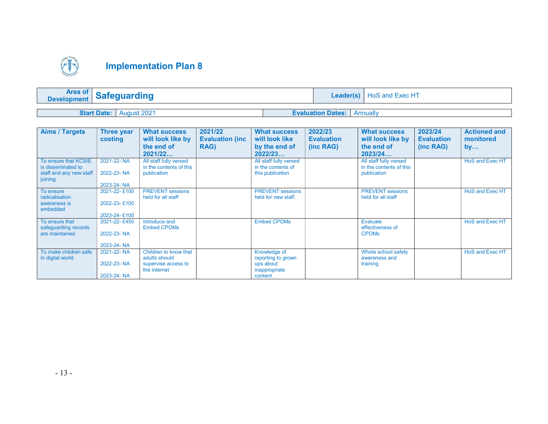

| Development        | <b>Safeguarding</b> |  | <b>Leader(s)</b>           | HoS and Exec HT |  |  |
|--------------------|---------------------|--|----------------------------|-----------------|--|--|
|                    |                     |  |                            |                 |  |  |
| <b>Start Date:</b> | August 2021         |  | <b>Evaluation Dates:</b> I | Annually        |  |  |

| <b>Aims / Targets</b>                  | Three year   | <b>What success</b>                 | 2021/22                 | <b>What success</b>        | 2022/23           | <b>What success</b>              | 2023/24           | <b>Actioned and</b>    |
|----------------------------------------|--------------|-------------------------------------|-------------------------|----------------------------|-------------------|----------------------------------|-------------------|------------------------|
|                                        | costing      | will look like by                   | <b>Evaluation (inc.</b> | will look like             | <b>Evaluation</b> | will look like by                | <b>Evaluation</b> | monitored              |
|                                        |              | the end of                          | <b>RAG)</b>             | by the end of              | (inc RAG)         | the end of                       | (inc RAG)         | by                     |
|                                        |              | 2021/22                             |                         | 2022/23                    |                   | 2023/24                          |                   |                        |
| To ensure that KCSIE                   | 2021-22-NA   | All staff fully versed              |                         | All staff fully versed     |                   | All staff fully versed           |                   | HoS and Exec HT        |
| is disseminated to                     | 2022-23-NA   | in the contents of this             |                         | in the contents of         |                   | in the contents of this          |                   |                        |
| staff and any new staff<br>joining     |              | publication                         |                         | this publication           |                   | publication                      |                   |                        |
|                                        | 2023-24-NA   |                                     |                         |                            |                   |                                  |                   |                        |
| To ensure                              | 2021-22-£100 | <b>PREVENT</b> sessions             |                         | <b>PREVENT</b> sessions    |                   | <b>PREVENT</b> sessions          |                   | <b>HoS and Exec HT</b> |
| radicalisation<br>awareness is         | 2022-23-£100 | held for all staff                  |                         | held for new staff.        |                   | held for all staff               |                   |                        |
| embedded                               |              |                                     |                         |                            |                   |                                  |                   |                        |
|                                        | 2023-24-£100 |                                     |                         |                            |                   |                                  |                   |                        |
| To ensure that                         | 2021-22-£450 | Introduce and                       |                         | <b>Embed CPOMs</b>         |                   | Evaluate                         |                   | HoS and Exec HT        |
| safeguarding records<br>are maintained | 2022-23-NA   | <b>Embed CPOMs</b>                  |                         |                            |                   | effectiveness of<br><b>CPOMs</b> |                   |                        |
|                                        |              |                                     |                         |                            |                   |                                  |                   |                        |
|                                        | 2023-24-NA   |                                     |                         |                            |                   |                                  |                   |                        |
| To make children safe                  | 2021-22-NA   | Children to know that               |                         | Knowledge of               |                   | Whole school safety              |                   | HoS and Exec HT        |
| in digital world                       | 2022-23-NA   | adults should                       |                         | reporting to grown         |                   | awareness and                    |                   |                        |
|                                        |              | supervise access to<br>the internet |                         | ups about<br>inappropriate |                   | training                         |                   |                        |
|                                        | 2023-24-NA   |                                     |                         | content                    |                   |                                  |                   |                        |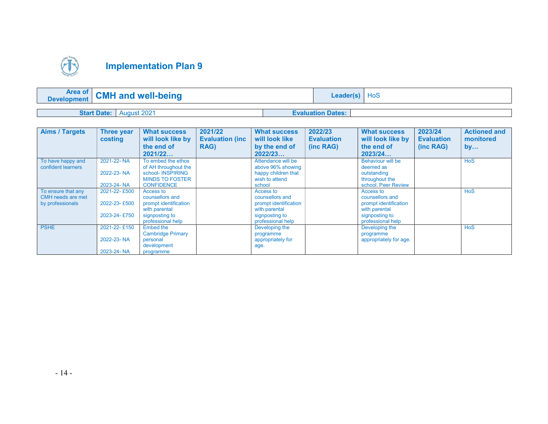

|                    | <b>Area of CMH and well-being</b> | <b>Leader(s)</b> $HoS$   |  |
|--------------------|-----------------------------------|--------------------------|--|
|                    |                                   |                          |  |
| <b>Start Date:</b> | August 2021                       | <b>Evaluation Dates:</b> |  |

| <b>Aims / Targets</b>                                       | <b>Three year</b><br>costing                 | <b>What success</b><br>will look like by<br>the end of                                                        | 2021/22<br><b>Evaluation (inc.</b><br>RAG) | <b>What success</b><br>will look like<br>by the end of                                                        | 2022/23<br><b>Evaluation</b><br>(inc RAG) | <b>What success</b><br>will look like by<br>the end of                                                        | 2023/24<br><b>Evaluation</b><br>(inc RAG) | <b>Actioned and</b><br>monitored<br>by |
|-------------------------------------------------------------|----------------------------------------------|---------------------------------------------------------------------------------------------------------------|--------------------------------------------|---------------------------------------------------------------------------------------------------------------|-------------------------------------------|---------------------------------------------------------------------------------------------------------------|-------------------------------------------|----------------------------------------|
|                                                             |                                              | 2021/22                                                                                                       |                                            | 2022/23                                                                                                       |                                           | 2023/24                                                                                                       |                                           |                                        |
| To have happy and<br>confident learners                     | 2021-22-NA<br>2022-23-NA                     | To embed the ethos<br>of AH throughout the<br>school- INSPIRING                                               |                                            | Attendance will be<br>above 96% showing<br>happy children that                                                |                                           | <b>Behaviour will be</b><br>deemed as<br>outstanding                                                          |                                           | <b>HoS</b>                             |
|                                                             | 2023-24-NA                                   | <b>MINDS TO FOSTER</b><br><b>CONFIDENCE</b>                                                                   |                                            | wish to attend<br>school                                                                                      |                                           | throughout the<br>school. Peer Review                                                                         |                                           |                                        |
| To ensure that any<br>CMH needs are met<br>by professionals | 2021-22-£500<br>2022-23-£500<br>2023-24-£750 | Access to<br>counsellors and<br>prompt identification<br>with parental<br>signposting to<br>professional help |                                            | Access to<br>counsellors and<br>prompt identification<br>with parental<br>signposting to<br>professional help |                                           | Access to<br>counsellors and<br>prompt identification<br>with parental<br>signposting to<br>professional help |                                           | <b>HoS</b>                             |
| <b>PSHE</b>                                                 | 2021-22-£150<br>2022-23-NA<br>2023-24-NA     | Embed the<br><b>Cambridge Primary</b><br>personal<br>development<br>programme                                 |                                            | Developing the<br>programme<br>appropriately for<br>age.                                                      |                                           | Developing the<br>programme<br>appropriately for age.                                                         |                                           | <b>HoS</b>                             |